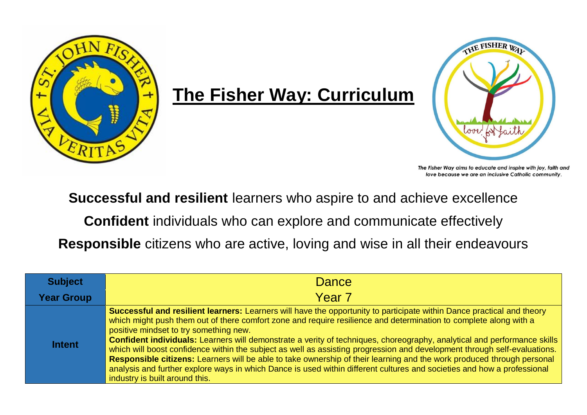

## **The Fisher Way: Curriculum**



The Fisher Way aims to educate and inspire with joy, faith and love because we are an inclusive Catholic community.

**Successful and resilient** learners who aspire to and achieve excellence

**Confident** individuals who can explore and communicate effectively

**Responsible** citizens who are active, loving and wise in all their endeavours

| <b>Subject</b>    | <b>Dance</b>                                                                                                                                                                                                                                                                                                                                                                                                                                                                                                                                                                                                                                                                                                                                                                                                                          |
|-------------------|---------------------------------------------------------------------------------------------------------------------------------------------------------------------------------------------------------------------------------------------------------------------------------------------------------------------------------------------------------------------------------------------------------------------------------------------------------------------------------------------------------------------------------------------------------------------------------------------------------------------------------------------------------------------------------------------------------------------------------------------------------------------------------------------------------------------------------------|
| <b>Year Group</b> | Year <sub>7</sub>                                                                                                                                                                                                                                                                                                                                                                                                                                                                                                                                                                                                                                                                                                                                                                                                                     |
| <b>Intent</b>     | Successful and resilient learners: Learners will have the opportunity to participate within Dance practical and theory<br>which might push them out of there comfort zone and require resilience and determination to complete along with a<br>positive mindset to try something new.<br>Confident individuals: Learners will demonstrate a verity of techniques, choreography, analytical and performance skills<br>which will boost confidence within the subject as well as assisting progression and development through self-evaluations.<br>Responsible citizens: Learners will be able to take ownership of their learning and the work produced through personal<br>analysis and further explore ways in which Dance is used within different cultures and societies and how a professional<br>industry is built around this. |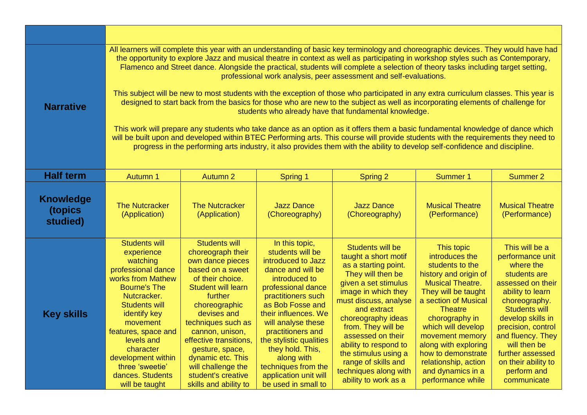| <b>Narrative</b>                        | All learners will complete this year with an understanding of basic key terminology and choreographic devices. They would have had<br>the opportunity to explore Jazz and musical theatre in context as well as participating in workshop styles such as Contemporary,<br>Flamenco and Street dance. Alongside the practical, students will complete a selection of theory tasks including target setting,<br>professional work analysis, peer assessment and self-evaluations.<br>This subject will be new to most students with the exception of those who participated in any extra curriculum classes. This year is<br>designed to start back from the basics for those who are new to the subject as well as incorporating elements of challenge for<br>students who already have that fundamental knowledge.<br>This work will prepare any students who take dance as an option as it offers them a basic fundamental knowledge of dance which<br>will be built upon and developed within BTEC Performing arts. This course will provide students with the requirements they need to<br>progress in the performing arts industry, it also provides them with the ability to develop self-confidence and discipline. |                                                                                                                                                                                                                                                                                                                                                               |                                                                                                                                                                                                                                                                                                                                                                       |                                                                                                                                                                                                                                                                                                                                                                        |                                                                                                                                                                                                                                                                                                                                                 |                                                                                                                                                                                                                                                                                                            |  |  |  |
|-----------------------------------------|---------------------------------------------------------------------------------------------------------------------------------------------------------------------------------------------------------------------------------------------------------------------------------------------------------------------------------------------------------------------------------------------------------------------------------------------------------------------------------------------------------------------------------------------------------------------------------------------------------------------------------------------------------------------------------------------------------------------------------------------------------------------------------------------------------------------------------------------------------------------------------------------------------------------------------------------------------------------------------------------------------------------------------------------------------------------------------------------------------------------------------------------------------------------------------------------------------------------------|---------------------------------------------------------------------------------------------------------------------------------------------------------------------------------------------------------------------------------------------------------------------------------------------------------------------------------------------------------------|-----------------------------------------------------------------------------------------------------------------------------------------------------------------------------------------------------------------------------------------------------------------------------------------------------------------------------------------------------------------------|------------------------------------------------------------------------------------------------------------------------------------------------------------------------------------------------------------------------------------------------------------------------------------------------------------------------------------------------------------------------|-------------------------------------------------------------------------------------------------------------------------------------------------------------------------------------------------------------------------------------------------------------------------------------------------------------------------------------------------|------------------------------------------------------------------------------------------------------------------------------------------------------------------------------------------------------------------------------------------------------------------------------------------------------------|--|--|--|
| <b>Half term</b>                        | Autumn 1                                                                                                                                                                                                                                                                                                                                                                                                                                                                                                                                                                                                                                                                                                                                                                                                                                                                                                                                                                                                                                                                                                                                                                                                                  | Autumn 2                                                                                                                                                                                                                                                                                                                                                      | <b>Spring 1</b>                                                                                                                                                                                                                                                                                                                                                       | Spring 2                                                                                                                                                                                                                                                                                                                                                               | <b>Summer 1</b>                                                                                                                                                                                                                                                                                                                                 | Summer 2                                                                                                                                                                                                                                                                                                   |  |  |  |
| <b>Knowledge</b><br>(topics<br>studied) | <b>The Nutcracker</b><br>(Application)                                                                                                                                                                                                                                                                                                                                                                                                                                                                                                                                                                                                                                                                                                                                                                                                                                                                                                                                                                                                                                                                                                                                                                                    | <b>The Nutcracker</b><br>(Application)                                                                                                                                                                                                                                                                                                                        | <b>Jazz Dance</b><br>(Choreography)                                                                                                                                                                                                                                                                                                                                   | <b>Jazz Dance</b><br>(Choreography)                                                                                                                                                                                                                                                                                                                                    | <b>Musical Theatre</b><br>(Performance)                                                                                                                                                                                                                                                                                                         | <b>Musical Theatre</b><br>(Performance)                                                                                                                                                                                                                                                                    |  |  |  |
| <b>Key skills</b>                       | <b>Students will</b><br>experience<br>watching<br>professional dance<br>works from Mathew<br><b>Bourne's The</b><br>Nutcracker.<br><b>Students will</b><br>identify key<br>movement<br>features, space and<br>levels and<br>character<br>development within<br>three 'sweetie'<br>dances. Students<br>will be taught                                                                                                                                                                                                                                                                                                                                                                                                                                                                                                                                                                                                                                                                                                                                                                                                                                                                                                      | <b>Students will</b><br>choreograph their<br>own dance pieces<br>based on a sweet<br>of their choice.<br><b>Student will learn</b><br>further<br>choreographic<br>devises and<br>techniques such as<br>cannon, unison,<br>effective transitions,<br>gesture, space,<br>dynamic etc. This<br>will challenge the<br>student's creative<br>skills and ability to | In this topic,<br>students will be<br>introduced to Jazz<br>dance and will be<br>introduced to<br>professional dance<br>practitioners such<br>as Bob Fosse and<br>their influences. We<br>will analyse these<br>practitioners and<br>the stylistic qualities<br>they hold. This,<br>along with<br>techniques from the<br>application unit will<br>be used in small to | Students will be<br>taught a short motif<br>as a starting point.<br>They will then be<br>given a set stimulus<br>image in which they<br>must discuss, analyse<br>and extract<br>choreography ideas<br>from. They will be<br>assessed on their<br>ability to respond to<br>the stimulus using a<br>range of skills and<br>techniques along with<br>ability to work as a | This topic<br>introduces the<br>students to the<br>history and origin of<br><b>Musical Theatre.</b><br>They will be taught<br>a section of Musical<br><b>Theatre</b><br>chorography in<br>which will develop<br>movement memory<br>along with exploring<br>how to demonstrate<br>relationship, action<br>and dynamics in a<br>performance while | This will be a<br>performance unit<br>where the<br>students are<br>assessed on their<br>ability to learn<br>choreography.<br><b>Students will</b><br>develop skills in<br>precision, control<br>and fluency. They<br>will then be<br>further assessed<br>on their ability to<br>perform and<br>communicate |  |  |  |